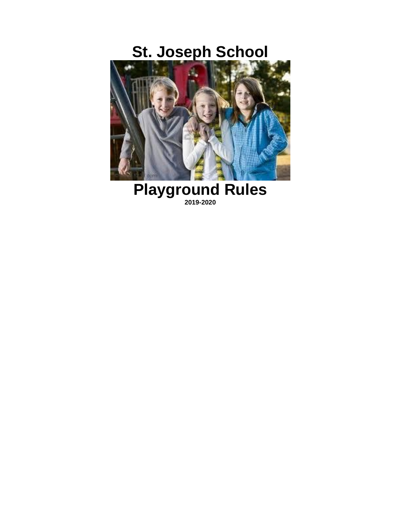# **St. Joseph School**



**Playground Rules 2019-2020**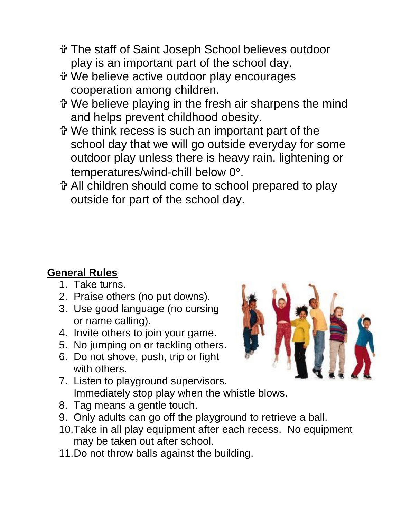- The staff of Saint Joseph School believes outdoor play is an important part of the school day.
- We believe active outdoor play encourages cooperation among children.
- We believe playing in the fresh air sharpens the mind and helps prevent childhood obesity.
- We think recess is such an important part of the school day that we will go outside everyday for some outdoor play unless there is heavy rain, lightening or temperatures/wind-chill below 0°.
- All children should come to school prepared to play outside for part of the school day.

## **General Rules**

- 1. Take turns.
- 2. Praise others (no put downs).
- 3. Use good language (no cursing or name calling).
- 4. Invite others to join your game.
- 5. No jumping on or tackling others.
- 6. Do not shove, push, trip or fight with others.
- 7. Listen to playground supervisors. Immediately stop play when the whistle blows.
- 8. Tag means a gentle touch.
- 9. Only adults can go off the playground to retrieve a ball.
- 10.Take in all play equipment after each recess. No equipment may be taken out after school.
- 11.Do not throw balls against the building.

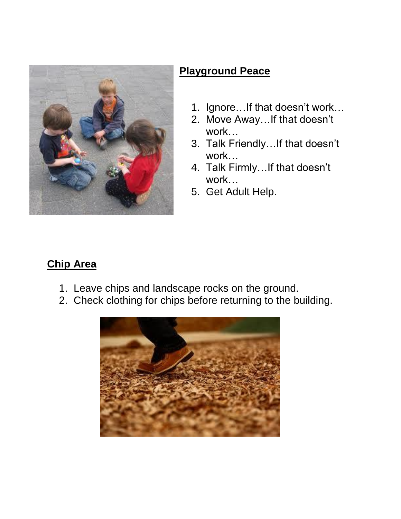

## **Playground Peace**

- 1. Ignore…If that doesn't work…
- 2. Move Away…If that doesn't work…
- 3. Talk Friendly…If that doesn't work…
- 4. Talk Firmly…If that doesn't work…
- 5. Get Adult Help.

## **Chip Area**

- 1. Leave chips and landscape rocks on the ground.
- 2. Check clothing for chips before returning to the building.

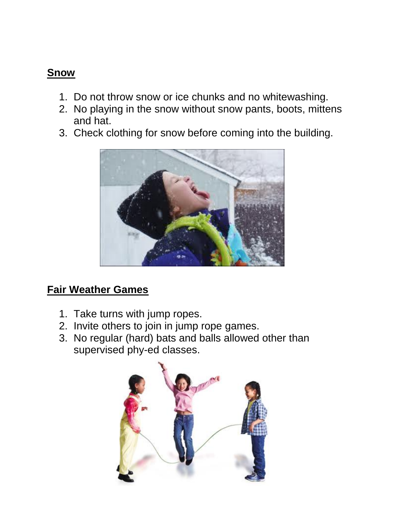#### **Snow**

- 1. Do not throw snow or ice chunks and no whitewashing.
- 2. No playing in the snow without snow pants, boots, mittens and hat.
- 3. Check clothing for snow before coming into the building.



#### **Fair Weather Games**

- 1. Take turns with jump ropes.
- 2. Invite others to join in jump rope games.
- 3. No regular (hard) bats and balls allowed other than supervised phy-ed classes.

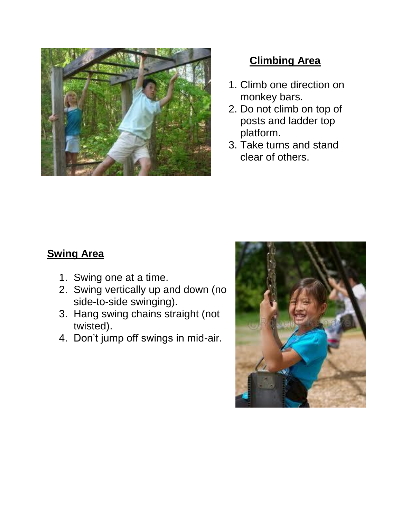

## **Climbing Area**

- 1. Climb one direction on monkey bars.
- 2. Do not climb on top of posts and ladder top platform.
- 3. Take turns and stand clear of others.

## **Swing Area**

- 1. Swing one at a time.
- 2. Swing vertically up and down (no side-to-side swinging).
- 3. Hang swing chains straight (not twisted).
- 4. Don't jump off swings in mid-air.